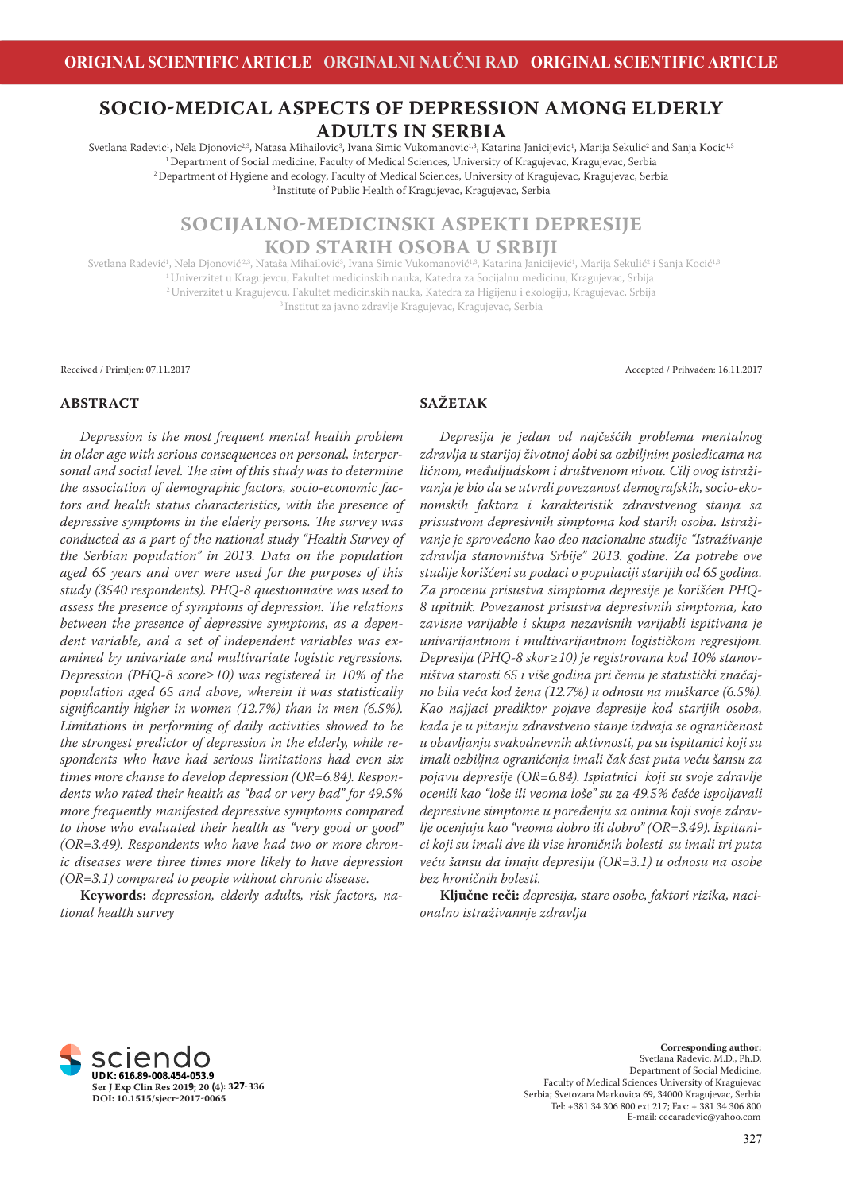# **SOCIO-MEDICAL ASPECTS OF DEPRESSION AMONG ELDERLY ADULTS IN SERBIA**

Svetlana Radevic<sup>1</sup>, Nela Djonovic<sup>2,3</sup>, Natasa Mihailovic<sup>3</sup>, Ivana Simic Vukomanovic<sup>1,3</sup>, Katarina Janicijevic<sup>1</sup>, Marija Sekulic<sup>2</sup> and Sanja Kocic<sup>1,3</sup> <sup>1</sup> Department of Social medicine, Faculty of Medical Sciences, University of Kragujevac, Kragujevac, Serbia <sup>2</sup>Department of Hygiene and ecology, Faculty of Medical Sciences, University of Kragujevac, Kragujevac, Serbia 3 Institute of Public Health of Kragujevac, Kragujevac, Serbia

# **SOCIJALNO-MEDICINSKI ASPEKTI DEPRESIJE KOD STARIH OSOBA U SRBIJI**

Svetlana Radević<sup>1</sup>, Nela Djonović<sup>23</sup>, Nataša Mihailović<sup>3</sup>, Ivana Simic Vukomanović<sup>1,3</sup>, Katarina Janicijević<sup>1</sup>, Marija Sekulić<sup>2</sup> i Sanja Kocić<sup>1,3</sup> <sup>1</sup> Univerzitet u Kragujevcu, Fakultet medicinskih nauka, Katedra za Socijalnu medicinu, Kragujevac, Srbija <sup>2</sup>Univerzitet u Kragujevcu, Fakultet medicinskih nauka, Katedra za Higijenu i ekologiju, Kragujevac, Srbija 3 Institut za javno zdravlje Kragujevac, Kragujevac, Serbia

Received / Primljen: 07.11.2017 Accepted / Prihvaćen: 16.11.2017

#### **ABSTRACT**

*Depression is the most frequent mental health problem in older age with serious consequences on personal, interper*sonal and social level. The aim of this study was to determine *the association of demographic factors, socio-economic factors and health status characteristics, with the presence of depressive symptoms in the elderly persons. The survey was conducted as a part of the national study "Health Survey of the Serbian population" in 2013. Data on the population aged 65 years and over were used for the purposes of this study (3540 respondents). PHQ-8 questionnaire was used to*  assess the presence of symptoms of depression. The relations *between the presence of depressive symptoms, as a dependent variable, and a set of independent variables was examined by univariate and multivariate logistic regressions. Depression (PHQ-8 score≥10) was registered in 10% of the population aged 65 and above, wherein it was statistically*  significantly higher in women (12.7%) than in men (6.5%). *Limitations in performing of daily activities showed to be the strongest predictor of depression in the elderly, while respondents who have had serious limitations had even six times more chanse to develop depression (OR=6.84). Respondents who rated their health as "bad or very bad" for 49.5% more frequently manifested depressive symptoms compared to those who evaluated their health as "very good or good" (OR=3.49). Respondents who have had two or more chronic diseases were three times more likely to have depression (OR=3.1) compared to people without chronic disease.*

**Keywords:** *depression, elderly adults, risk factors, national health survey*

# **SAŽETAK**

*Depresija je jedan od najčešćih problema mentalnog zdravlja u starijoj životnoj dobi sa ozbiljnim posledicama na ličnom, međuljudskom i društvenom nivou. Cilj ovog istraživanja je bio da se utvrdi povezanost demografskih, socio-ekonomskih faktora i karakteristik zdravstvenog stanja sa prisustvom depresivnih simptoma kod starih osoba. Istraživanje je sprovedeno kao deo nacionalne studije "Istraživanje zdravlja stanovništva Srbije" 2013. godine. Za potrebe ove studije korišćeni su podaci o populaciji starijih od 65 godina. Za procenu prisustva simptoma depresije je korišćen PHQ-8 upitnik. Povezanost prisustva depresivnih simptoma, kao zavisne varijable i skupa nezavisnih varijabli ispitivana je univarijantnom i multivarijantnom logističkom regresijom. Depresija (PHQ-8 skor≥10) je registrovana kod 10% stanovništva starosti 65 i više godina pri čemu je statistički značajno bila veća kod žena (12.7%) u odnosu na muškarce (6.5%). Kao najjaci prediktor pojave depresije kod starijih osoba, kada je u pitanju zdravstveno stanje izdvaja se ograničenost u obavljanju svakodnevnih aktivnosti, pa su ispitanici koji su imali ozbiljna ograničenja imali čak šest puta veću šansu za pojavu depresije (OR=6.84). Ispiatnici koji su svoje zdravlje ocenili kao "loše ili veoma loše" su za 49.5% češće ispoljavali depresivne simptome u poređenju sa onima koji svoje zdravlje ocenjuju kao "veoma dobro ili dobro" (OR=3.49). Ispitanici koji su imali dve ili vise hroničnih bolesti su imali tri puta veću šansu da imaju depresiju (OR=3.1) u odnosu na osobe bez hroničnih bolesti.*

**Ključne reči:** *depresija, stare osobe, faktori rizika, nacionalno istraživannje zdravlja*



**Corresponding author:**  Svetlana Radevic, M.D., Ph.D. Department of Social Medicine, Faculty of Medical Sciences University of Kragujevac Serbia; Svetozara Markovica 69, 34000 Kragujevac, Serbia E-mail: cecaradevic@yahoo.com Tel: +381 34 306 800 ext 217; Fax: + 381 34 306 800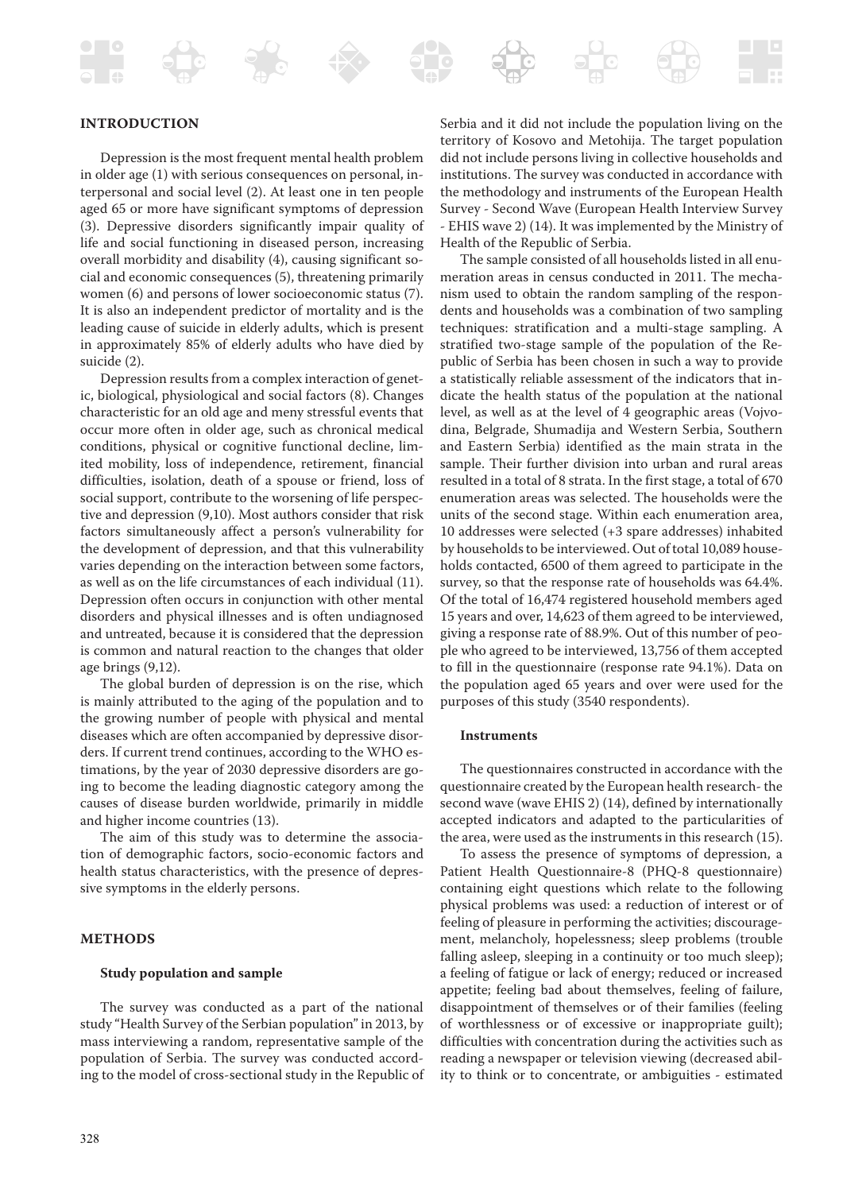## **INTRODUCTION**

Depression is the most frequent mental health problem in older age (1) with serious consequences on personal, interpersonal and social level (2). At least one in ten people aged 65 or more have significant symptoms of depression (3). Depressive disorders significantly impair quality of life and social functioning in diseased person, increasing overall morbidity and disability (4), causing significant social and economic consequences (5), threatening primarily women (6) and persons of lower socioeconomic status (7). It is also an independent predictor of mortality and is the leading cause of suicide in elderly adults, which is present in approximately 85% of elderly adults who have died by suicide (2).

Depression results from a complex interaction of genetic, biological, physiological and social factors (8). Changes characteristic for an old age and meny stressful events that occur more often in older age, such as chronical medical conditions, physical or cognitive functional decline, limited mobility, loss of independence, retirement, financial difficulties, isolation, death of a spouse or friend, loss of social support, contribute to the worsening of life perspective and depression (9,10). Most authors consider that risk factors simultaneously affect a person's vulnerability for the development of depression, and that this vulnerability varies depending on the interaction between some factors, as well as on the life circumstances of each individual (11). Depression often occurs in conjunction with other mental disorders and physical illnesses and is often undiagnosed and untreated, because it is considered that the depression is common and natural reaction to the changes that older age brings (9,12).

The global burden of depression is on the rise, which is mainly attributed to the aging of the population and to the growing number of people with physical and mental diseases which are often accompanied by depressive disorders. If current trend continues, according to the WHO estimations, by the year of 2030 depressive disorders are going to become the leading diagnostic category among the causes of disease burden worldwide, primarily in middle and higher income countries (13).

The aim of this study was to determine the association of demographic factors, socio-economic factors and health status characteristics, with the presence of depressive symptoms in the elderly persons.

### **METHODS**

#### **Study population and sample**

The survey was conducted as a part of the national study "Health Survey of the Serbian population" in 2013, by mass interviewing a random, representative sample of the population of Serbia. The survey was conducted according to the model of cross-sectional study in the Republic of

Serbia and it did not include the population living on the territory of Kosovo and Metohija. The target population did not include persons living in collective households and institutions. The survey was conducted in accordance with the methodology and instruments of the European Health Survey - Second Wave (European Health Interview Survey - EHIS wave 2) (14). It was implemented by the Ministry of Health of the Republic of Serbia.

The sample consisted of all households listed in all enumeration areas in census conducted in 2011. The mechanism used to obtain the random sampling of the respondents and households was a combination of two sampling techniques: stratification and a multi-stage sampling. A stratified two-stage sample of the population of the Republic of Serbia has been chosen in such a way to provide a statistically reliable assessment of the indicators that indicate the health status of the population at the national level, as well as at the level of 4 geographic areas (Vojvodina, Belgrade, Shumadija and Western Serbia, Southern and Eastern Serbia) identified as the main strata in the sample. Their further division into urban and rural areas resulted in a total of 8 strata. In the first stage, a total of 670 enumeration areas was selected. The households were the units of the second stage. Within each enumeration area, 10 addresses were selected (+3 spare addresses) inhabited by households to be interviewed. Out of total 10,089 households contacted, 6500 of them agreed to participate in the survey, so that the response rate of households was 64.4%. Of the total of 16,474 registered household members aged 15 years and over, 14,623 of them agreed to be interviewed, giving a response rate of 88.9%. Out of this number of people who agreed to be interviewed, 13,756 of them accepted to fill in the questionnaire (response rate 94.1%). Data on the population aged 65 years and over were used for the purposes of this study (3540 respondents).

#### **Instruments**

The questionnaires constructed in accordance with the questionnaire created by the European health research- the second wave (wave EHIS 2) (14), defined by internationally accepted indicators and adapted to the particularities of the area, were used as the instruments in this research (15).

To assess the presence of symptoms of depression, a Patient Health Questionnaire-8 (PHQ-8 questionnaire) containing eight questions which relate to the following physical problems was used: a reduction of interest or of feeling of pleasure in performing the activities; discouragement, melancholy, hopelessness; sleep problems (trouble falling asleep, sleeping in a continuity or too much sleep); a feeling of fatigue or lack of energy; reduced or increased appetite; feeling bad about themselves, feeling of failure, disappointment of themselves or of their families (feeling of worthlessness or of excessive or inappropriate guilt); difficulties with concentration during the activities such as reading a newspaper or television viewing (decreased ability to think or to concentrate, or ambiguities - estimated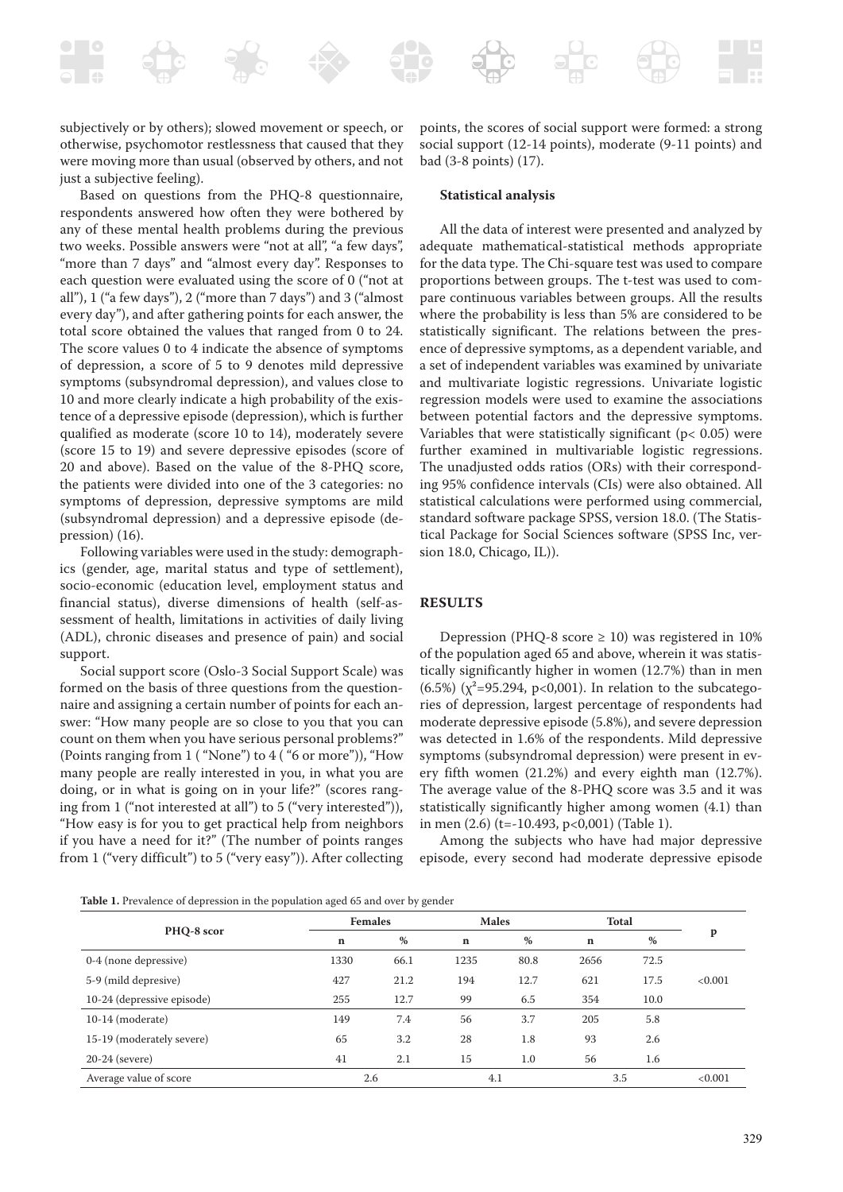subjectively or by others); slowed movement or speech, or otherwise, psychomotor restlessness that caused that they were moving more than usual (observed by others, and not just a subjective feeling).

Based on questions from the PHQ-8 questionnaire, respondents answered how often they were bothered by any of these mental health problems during the previous two weeks. Possible answers were "not at all", "a few days", "more than 7 days" and "almost every day". Responses to each question were evaluated using the score of 0 ("not at all"), 1 ("a few days"), 2 ("more than 7 days") and 3 ("almost every day"), and after gathering points for each answer, the total score obtained the values that ranged from 0 to 24. The score values 0 to 4 indicate the absence of symptoms of depression, a score of 5 to 9 denotes mild depressive symptoms (subsyndromal depression), and values close to 10 and more clearly indicate a high probability of the existence of a depressive episode (depression), which is further qualified as moderate (score 10 to 14), moderately severe (score 15 to 19) and severe depressive episodes (score of 20 and above). Based on the value of the 8-PHQ score, the patients were divided into one of the 3 categories: no symptoms of depression, depressive symptoms are mild (subsyndromal depression) and a depressive episode (depression) (16).

Following variables were used in the study: demographics (gender, age, marital status and type of settlement), socio-economic (education level, employment status and financial status), diverse dimensions of health (self-assessment of health, limitations in activities of daily living (ADL), chronic diseases and presence of pain) and social support.

Social support score (Oslo-3 Social Support Scale) was formed on the basis of three questions from the questionnaire and assigning a certain number of points for each answer: "How many people are so close to you that you can count on them when you have serious personal problems?" (Points ranging from 1 ( "None") to 4 ( "6 or more")), "How many people are really interested in you, in what you are doing, or in what is going on in your life?" (scores ranging from 1 ("not interested at all") to 5 ("very interested")), "How easy is for you to get practical help from neighbors if you have a need for it?" (The number of points ranges from 1 ("very difficult") to 5 ("very easy")). After collecting

points, the scores of social support were formed: a strong social support (12-14 points), moderate (9-11 points) and bad (3-8 points) (17).

#### **Statistical analysis**

All the data of interest were presented and analyzed by adequate mathematical-statistical methods appropriate for the data type. The Chi-square test was used to compare proportions between groups. The t-test was used to compare continuous variables between groups. All the results where the probability is less than 5% are considered to be statistically significant. The relations between the presence of depressive symptoms, as a dependent variable, and a set of independent variables was examined by univariate and multivariate logistic regressions. Univariate logistic regression models were used to examine the associations between potential factors and the depressive symptoms. Variables that were statistically significant ( $p$ < 0.05) were further examined in multivariable logistic regressions. The unadjusted odds ratios (ORs) with their corresponding 95% confidence intervals (CIs) were also obtained. All statistical calculations were performed using commercial, standard software package SPSS, version 18.0. (The Statistical Package for Social Sciences software (SPSS Inc, version 18.0, Chicago, IL)).

#### **RESULTS**

Depression (PHQ-8 score  $\geq$  10) was registered in 10% of the population aged 65 and above, wherein it was statistically significantly higher in women (12.7%) than in men (6.5%) ( $\chi^2$ =95.294, p<0,001). In relation to the subcategories of depression, largest percentage of respondents had moderate depressive episode (5.8%), and severe depression was detected in 1.6% of the respondents. Mild depressive symptoms (subsyndromal depression) were present in every fifth women (21.2%) and every eighth man (12.7%). The average value of the 8-PHQ score was 3.5 and it was statistically significantly higher among women (4.1) than in men (2.6) (t=-10.493, p<0,001) (Table 1).

Among the subjects who have had major depressive episode, every second had moderate depressive episode

|  |  | Table 1. Prevalence of depression in the population aged 65 and over by gender |  |  |  |  |  |
|--|--|--------------------------------------------------------------------------------|--|--|--|--|--|
|--|--|--------------------------------------------------------------------------------|--|--|--|--|--|

|                            | <b>Females</b> |      | <b>Males</b> |      | <b>Total</b> |      |         |
|----------------------------|----------------|------|--------------|------|--------------|------|---------|
| PHQ-8 scor                 | $\mathbf n$    | $\%$ | $\mathbf n$  | %    | $\mathbf n$  | %    | p       |
| 0-4 (none depressive)      | 1330           | 66.1 | 1235         | 80.8 | 2656         | 72.5 |         |
| 5-9 (mild depresive)       | 427            | 21.2 | 194          | 12.7 | 621          | 17.5 | < 0.001 |
| 10-24 (depressive episode) | 255            | 12.7 | 99           | 6.5  | 354          | 10.0 |         |
| $10-14$ (moderate)         | 149            | 7.4  | 56           | 3.7  | 205          | 5.8  |         |
| 15-19 (moderately severe)  | 65             | 3.2  | 28           | 1.8  | 93           | 2.6  |         |
| $20-24$ (severe)           | 41             | 2.1  | 15           | 1.0  | 56           | 1.6  |         |
| Average value of score     | 2.6            |      | 4.1          |      | 3.5          |      | < 0.001 |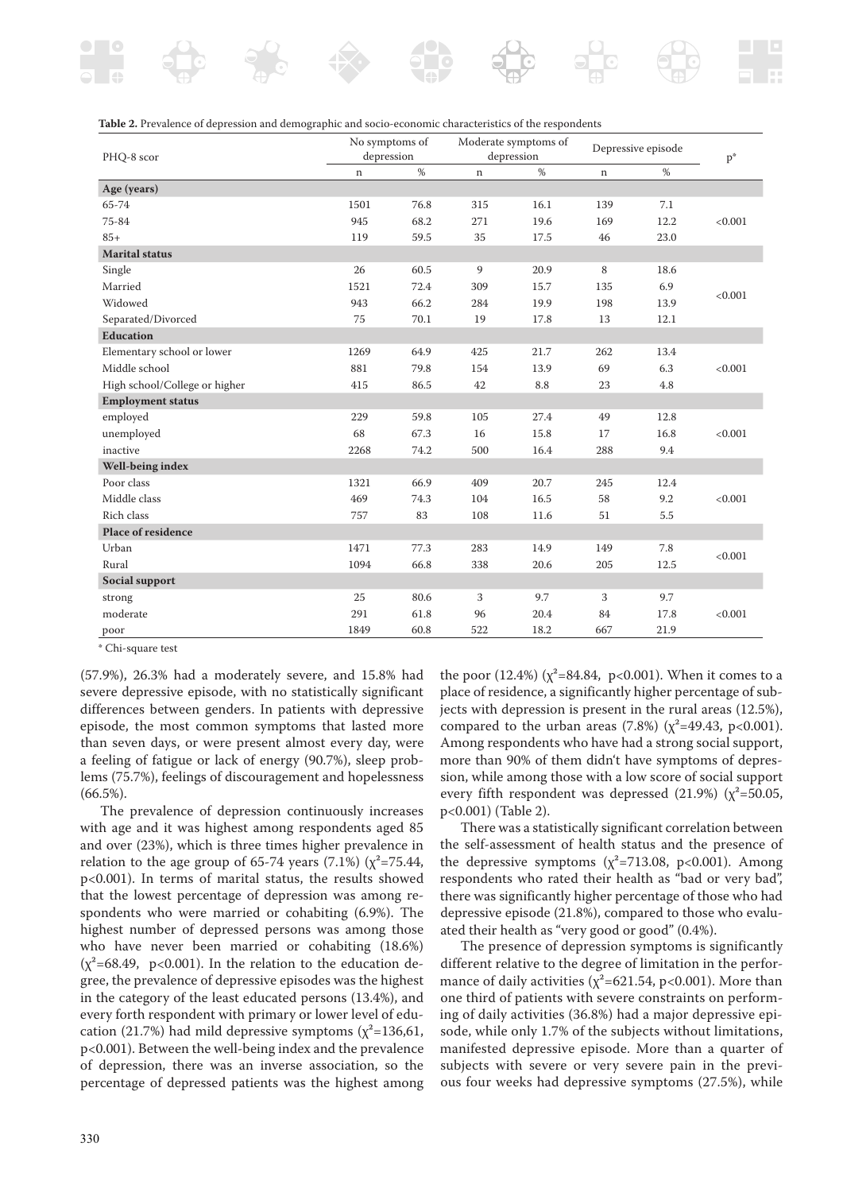

| Table 2. Prevalence of depression and demographic and socio-economic characteristics of the respondents |  |  |
|---------------------------------------------------------------------------------------------------------|--|--|
|---------------------------------------------------------------------------------------------------------|--|--|

| PHQ-8 scor                    | No symptoms of<br>depression |      | Moderate symptoms of<br>depression |      | Depressive episode |      | $p^*$   |
|-------------------------------|------------------------------|------|------------------------------------|------|--------------------|------|---------|
|                               | $\mathbf n$                  | %    | $\mathbf n$                        | %    | $\mathbf n$        | %    |         |
| Age (years)                   |                              |      |                                    |      |                    |      |         |
| 65-74                         | 1501                         | 76.8 | 315                                | 16.1 | 139                | 7.1  |         |
| 75-84                         | 945                          | 68.2 | 271                                | 19.6 | 169                | 12.2 | < 0.001 |
| $85+$                         | 119                          | 59.5 | 35                                 | 17.5 | 46                 | 23.0 |         |
| <b>Marital status</b>         |                              |      |                                    |      |                    |      |         |
| Single                        | 26                           | 60.5 | 9                                  | 20.9 | 8                  | 18.6 |         |
| Married                       | 1521                         | 72.4 | 309                                | 15.7 | 135                | 6.9  |         |
| Widowed                       | 943                          | 66.2 | 284                                | 19.9 | 198                | 13.9 | < 0.001 |
| Separated/Divorced            | 75                           | 70.1 | 19                                 | 17.8 | 13                 | 12.1 |         |
| <b>Education</b>              |                              |      |                                    |      |                    |      |         |
| Elementary school or lower    | 1269                         | 64.9 | 425                                | 21.7 | 262                | 13.4 |         |
| Middle school                 | 881                          | 79.8 | 154                                | 13.9 | 69                 | 6.3  | < 0.001 |
| High school/College or higher | 415                          | 86.5 | 42                                 | 8.8  | 23                 | 4.8  |         |
| <b>Employment status</b>      |                              |      |                                    |      |                    |      |         |
| employed                      | 229                          | 59.8 | 105                                | 27.4 | 49                 | 12.8 |         |
| unemployed                    | 68                           | 67.3 | 16                                 | 15.8 | 17                 | 16.8 | < 0.001 |
| inactive                      | 2268                         | 74.2 | 500                                | 16.4 | 288                | 9.4  |         |
| Well-being index              |                              |      |                                    |      |                    |      |         |
| Poor class                    | 1321                         | 66.9 | 409                                | 20.7 | 245                | 12.4 |         |
| Middle class                  | 469                          | 74.3 | 104                                | 16.5 | 58                 | 9.2  | < 0.001 |
| Rich class                    | 757                          | 83   | 108                                | 11.6 | 51                 | 5.5  |         |
| <b>Place of residence</b>     |                              |      |                                    |      |                    |      |         |
| Urban                         | 1471                         | 77.3 | 283                                | 14.9 | 149                | 7.8  | < 0.001 |
| Rural                         | 1094                         | 66.8 | 338                                | 20.6 | 205                | 12.5 |         |
| Social support                |                              |      |                                    |      |                    |      |         |
| strong                        | 25                           | 80.6 | 3                                  | 9.7  | 3                  | 9.7  |         |
| moderate                      | 291                          | 61.8 | 96                                 | 20.4 | 84                 | 17.8 | < 0.001 |
| poor                          | 1849                         | 60.8 | 522                                | 18.2 | 667                | 21.9 |         |

\* Chi-square test

(57.9%), 26.3% had a moderately severe, and 15.8% had severe depressive episode, with no statistically significant differences between genders. In patients with depressive episode, the most common symptoms that lasted more than seven days, or were present almost every day, were a feeling of fatigue or lack of energy (90.7%), sleep problems (75.7%), feelings of discouragement and hopelessness (66.5%).

The prevalence of depression continuously increases with age and it was highest among respondents aged 85 and over (23%), which is three times higher prevalence in relation to the age group of 65-74 years (7.1%) ( $\chi^2$ =75.44, p<0.001). In terms of marital status, the results showed that the lowest percentage of depression was among respondents who were married or cohabiting (6.9%). The highest number of depressed persons was among those who have never been married or cohabiting (18.6%)  $(x^2=68.49, p<0.001)$ . In the relation to the education degree, the prevalence of depressive episodes was the highest in the category of the least educated persons (13.4%), and every forth respondent with primary or lower level of education (21.7%) had mild depressive symptoms ( $\chi^2$ =136,61, p<0.001). Between the well-being index and the prevalence of depression, there was an inverse association, so the percentage of depressed patients was the highest among the poor  $(12.4\%)$  ( $\chi^2$ =84.84, p<0.001). When it comes to a place of residence, a significantly higher percentage of subjects with depression is present in the rural areas (12.5%), compared to the urban areas (7.8%) ( $\chi^2$ =49.43, p<0.001). Among respondents who have had a strong social support, more than 90% of them didn't have symptoms of depression, while among those with a low score of social support every fifth respondent was depressed (21.9%) ( $\chi^2$ =50.05, p<0.001) (Table 2).

There was a statistically significant correlation between the self-assessment of health status and the presence of the depressive symptoms  $(x^2=713.08, p<0.001)$ . Among respondents who rated their health as "bad or very bad", there was significantly higher percentage of those who had depressive episode (21.8%), compared to those who evaluated their health as "very good or good" (0.4%).

The presence of depression symptoms is significantly different relative to the degree of limitation in the performance of daily activities ( $\chi^2$ =621.54, p<0.001). More than one third of patients with severe constraints on performing of daily activities (36.8%) had a major depressive episode, while only 1.7% of the subjects without limitations, manifested depressive episode. More than a quarter of subjects with severe or very severe pain in the previous four weeks had depressive symptoms (27.5%), while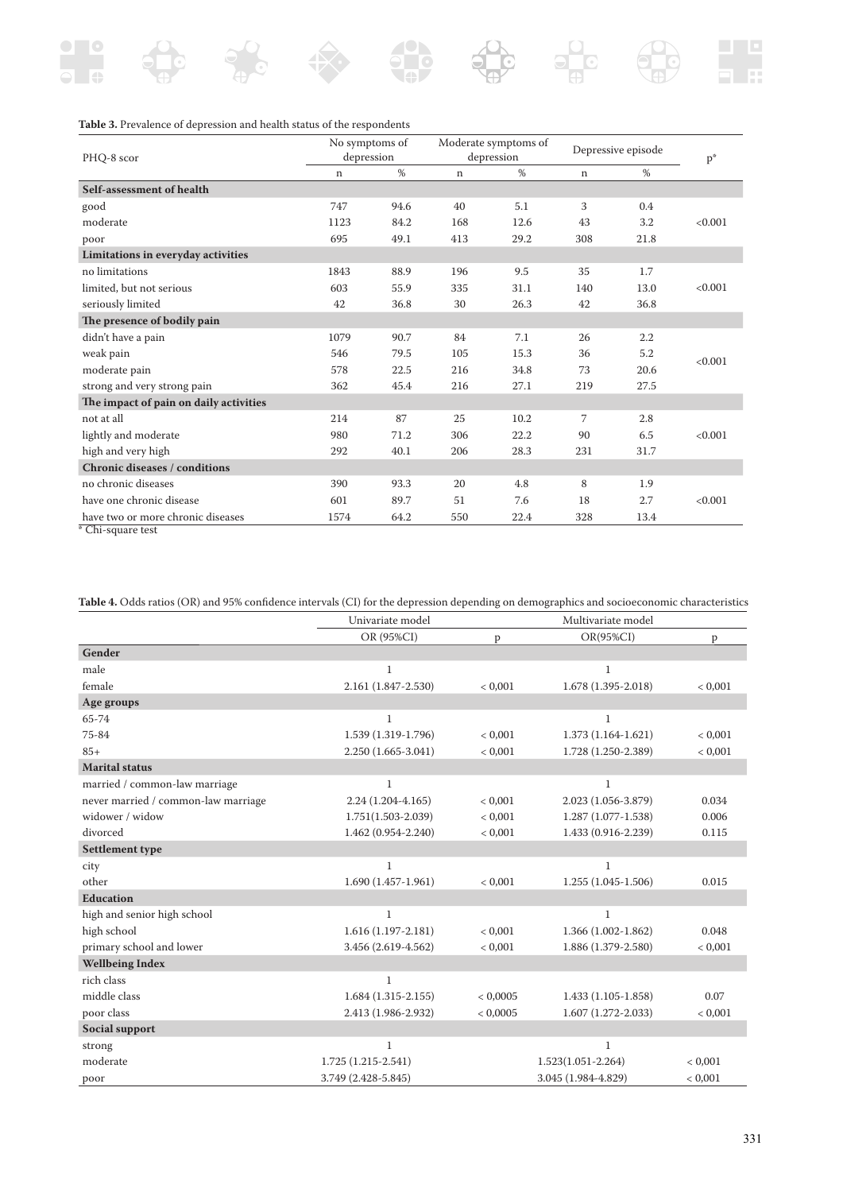## **Table 3.** Prevalence of depression and health status of the respondents

| PHQ-8 scor                             | No symptoms of<br>depression |      | Moderate symptoms of<br>depression |      | Depressive episode |      | $p^*$   |
|----------------------------------------|------------------------------|------|------------------------------------|------|--------------------|------|---------|
|                                        | n                            | %    | n                                  | %    | $\mathbf n$        | %    |         |
| Self-assessment of health              |                              |      |                                    |      |                    |      |         |
| good                                   | 747                          | 94.6 | 40                                 | 5.1  | 3                  | 0.4  |         |
| moderate                               | 1123                         | 84.2 | 168                                | 12.6 | 43                 | 3.2  | < 0.001 |
| poor                                   | 695                          | 49.1 | 413                                | 29.2 | 308                | 21.8 |         |
| Limitations in everyday activities     |                              |      |                                    |      |                    |      |         |
| no limitations                         | 1843                         | 88.9 | 196                                | 9.5  | 35                 | 1.7  |         |
| limited, but not serious               | 603                          | 55.9 | 335                                | 31.1 | 140                | 13.0 | < 0.001 |
| seriously limited                      | 42                           | 36.8 | 30                                 | 26.3 | 42                 | 36.8 |         |
| The presence of bodily pain            |                              |      |                                    |      |                    |      |         |
| didn't have a pain                     | 1079                         | 90.7 | 84                                 | 7.1  | 26                 | 2.2  |         |
| weak pain                              | 546                          | 79.5 | 105                                | 15.3 | 36                 | 5.2  | < 0.001 |
| moderate pain                          | 578                          | 22.5 | 216                                | 34.8 | 73                 | 20.6 |         |
| strong and very strong pain            | 362                          | 45.4 | 216                                | 27.1 | 219                | 27.5 |         |
| The impact of pain on daily activities |                              |      |                                    |      |                    |      |         |
| not at all                             | 214                          | 87   | 25                                 | 10.2 | 7                  | 2.8  |         |
| lightly and moderate                   | 980                          | 71.2 | 306                                | 22.2 | 90                 | 6.5  | < 0.001 |
| high and very high                     | 292                          | 40.1 | 206                                | 28.3 | 231                | 31.7 |         |
| <b>Chronic diseases / conditions</b>   |                              |      |                                    |      |                    |      |         |
| no chronic diseases                    | 390                          | 93.3 | 20                                 | 4.8  | 8                  | 1.9  |         |
| have one chronic disease               | 601                          | 89.7 | 51                                 | 7.6  | 18                 | 2.7  | < 0.001 |
| have two or more chronic diseases      | 1574                         | 64.2 | 550                                | 22.4 | 328                | 13.4 |         |

\* Chi-square test

Table 4. Odds ratios (OR) and 95% confidence intervals (CI) for the depression depending on demographics and socioeconomic characteristics

|                                     | Univariate model      |             | Multivariate model     |         |
|-------------------------------------|-----------------------|-------------|------------------------|---------|
|                                     | OR (95%CI)            | p           | $OR(95\%CI)$           | p       |
| Gender                              |                       |             |                        |         |
| male                                | 1                     |             | 1                      |         |
| female                              | 2.161 (1.847-2.530)   | < 0,001     | 1.678 (1.395-2.018)    | < 0,001 |
| Age groups                          |                       |             |                        |         |
| 65-74                               | $\mathbf{1}$          |             | $\mathbf{1}$           |         |
| 75-84                               | 1.539 (1.319-1.796)   | < 0.001     | $1.373(1.164-1.621)$   | < 0.001 |
| $85+$                               | 2.250 (1.665-3.041)   | < 0,001     | 1.728 (1.250-2.389)    | < 0,001 |
| <b>Marital status</b>               |                       |             |                        |         |
| married / common-law marriage       | 1                     |             | 1                      |         |
| never married / common-law marriage | $2.24(1.204 - 4.165)$ | < 0,001     | 2.023 (1.056-3.879)    | 0.034   |
| widower / widow                     | 1.751(1.503-2.039)    | ${}< 0.001$ | $1.287(1.077-1.538)$   | 0.006   |
| divorced                            | 1.462 (0.954-2.240)   | < 0,001     | 1.433 (0.916-2.239)    | 0.115   |
| <b>Settlement type</b>              |                       |             |                        |         |
| city                                | $\mathbf{1}$          |             | $\mathbf{1}$           |         |
| other                               | $1.690(1.457-1.961)$  | < 0,001     | $1.255(1.045-1.506)$   | 0.015   |
| <b>Education</b>                    |                       |             |                        |         |
| high and senior high school         | $\mathbf{1}$          |             | $\mathbf{1}$           |         |
| high school                         | $1.616(1.197-2.181)$  | < 0,001     | 1.366 (1.002-1.862)    | 0.048   |
| primary school and lower            | 3.456 (2.619-4.562)   | < 0,001     | 1.886 (1.379-2.580)    | < 0,001 |
| <b>Wellbeing Index</b>              |                       |             |                        |         |
| rich class                          | $\mathbf{1}$          |             |                        |         |
| middle class                        | $1.684(1.315-2.155)$  | < 0,0005    | $1.433(1.105-1.858)$   | 0.07    |
| poor class                          | 2.413 (1.986-2.932)   | < 0,0005    | $1.607(1.272 - 2.033)$ | < 0.001 |
| Social support                      |                       |             |                        |         |
| strong                              | $\mathbf{1}$          |             | $\mathbf{1}$           |         |
| moderate                            | $1.725(1.215-2.541)$  |             | $1.523(1.051 - 2.264)$ | < 0.001 |
| poor                                | 3.749 (2.428-5.845)   |             | 3.045 (1.984-4.829)    | < 0,001 |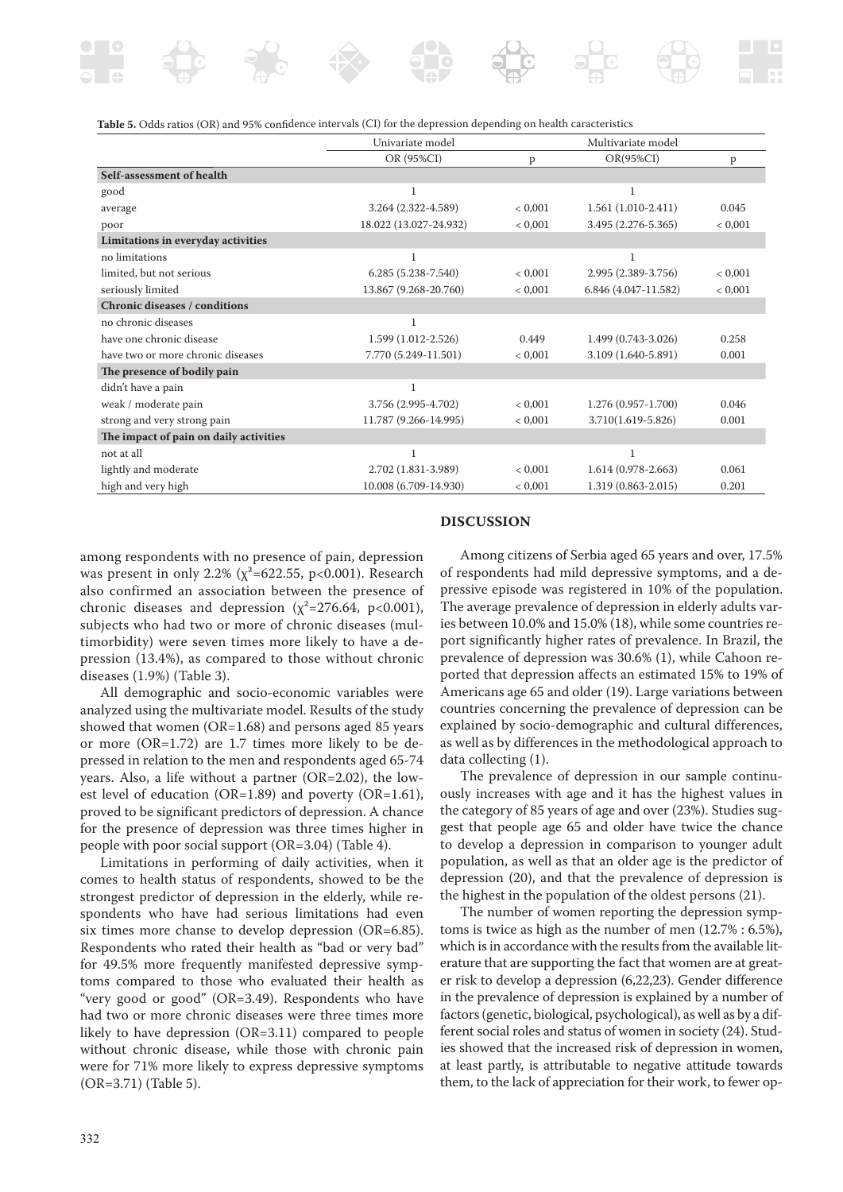

| Table 5. Odds ratios (OR) and 95% confidence intervals (CI) for the depression depending on health caracteristics |  |  |  |  |  |  |
|-------------------------------------------------------------------------------------------------------------------|--|--|--|--|--|--|
|-------------------------------------------------------------------------------------------------------------------|--|--|--|--|--|--|

|                                        | Univariate model       |         | Multivariate model   |         |
|----------------------------------------|------------------------|---------|----------------------|---------|
|                                        | OR (95%CI)             | p       | $OR(95\%CI)$         | P       |
| Self-assessment of health              |                        |         |                      |         |
| good                                   | 1                      |         | 1                    |         |
| average                                | 3.264 (2.322-4.589)    | < 0.001 | $1.561(1.010-2.411)$ | 0.045   |
| poor                                   | 18.022 (13.027-24.932) | < 0,001 | 3.495 (2.276-5.365)  | < 0,001 |
| Limitations in everyday activities     |                        |         |                      |         |
| no limitations                         |                        |         |                      |         |
| limited, but not serious               | $6.285(5.238 - 7.540)$ | < 0.001 | 2.995 (2.389-3.756)  | < 0.001 |
| seriously limited                      | 13.867 (9.268-20.760)  | < 0.001 | 6.846 (4.047-11.582) | < 0,001 |
| <b>Chronic diseases / conditions</b>   |                        |         |                      |         |
| no chronic diseases                    | 1                      |         |                      |         |
| have one chronic disease               | 1.599 (1.012-2.526)    | 0.449   | 1.499 (0.743-3.026)  | 0.258   |
| have two or more chronic diseases      | 7.770 (5.249-11.501)   | < 0.001 | 3.109 (1.640-5.891)  | 0.001   |
| The presence of bodily pain            |                        |         |                      |         |
| didn't have a pain                     | $\mathbf{1}$           |         |                      |         |
| weak / moderate pain                   | 3.756 (2.995-4.702)    | < 0.001 | 1.276 (0.957-1.700)  | 0.046   |
| strong and very strong pain            | 11.787 (9.266-14.995)  | < 0,001 | 3.710(1.619-5.826)   | 0.001   |
| The impact of pain on daily activities |                        |         |                      |         |
| not at all                             | $\mathbf{1}$           |         | 1                    |         |
| lightly and moderate                   | 2.702 (1.831-3.989)    | < 0.001 | $1.614(0.978-2.663)$ | 0.061   |
| high and very high                     | 10.008 (6.709-14.930)  | < 0,001 | 1.319 (0.863-2.015)  | 0.201   |

### **DISCUSSION**

among respondents with no presence of pain, depression was present in only 2.2% ( $\chi^2$ =622.55, p<0.001). Research also confirmed an association between the presence of chronic diseases and depression ( $\chi^2$ =276.64, p<0.001), subjects who had two or more of chronic diseases (multimorbidity) were seven times more likely to have a depression (13.4%), as compared to those without chronic diseases (1.9%) (Table 3).

All demographic and socio-economic variables were analyzed using the multivariate model. Results of the study showed that women (OR=1.68) and persons aged 85 years or more (OR=1.72) are 1.7 times more likely to be depressed in relation to the men and respondents aged 65-74 years. Also, a life without a partner (OR=2.02), the lowest level of education (OR=1.89) and poverty (OR=1.61), proved to be significant predictors of depression. A chance for the presence of depression was three times higher in people with poor social support (OR=3.04) (Table 4).

Limitations in performing of daily activities, when it comes to health status of respondents, showed to be the strongest predictor of depression in the elderly, while respondents who have had serious limitations had even six times more chanse to develop depression (OR=6.85). Respondents who rated their health as "bad or very bad" for 49.5% more frequently manifested depressive symptoms compared to those who evaluated their health as "very good or good" (OR=3.49). Respondents who have had two or more chronic diseases were three times more likely to have depression (OR=3.11) compared to people without chronic disease, while those with chronic pain were for 71% more likely to express depressive symptoms (OR=3.71) (Table 5).

Among citizens of Serbia aged 65 years and over, 17.5% of respondents had mild depressive symptoms, and a depressive episode was registered in 10% of the population. The average prevalence of depression in elderly adults varies between 10.0% and 15.0% (18), while some countries report significantly higher rates of prevalence. In Brazil, the prevalence of depression was 30.6% (1), while Cahoon reported that depression affects an estimated 15% to 19% of Americans age 65 and older (19). Large variations between countries concerning the prevalence of depression can be explained by socio-demographic and cultural differences, as well as by differences in the methodological approach to data collecting (1).

The prevalence of depression in our sample continuously increases with age and it has the highest values in the category of 85 years of age and over (23%). Studies suggest that people age 65 and older have twice the chance to develop a depression in comparison to younger adult population, as well as that an older age is the predictor of depression (20), and that the prevalence of depression is the highest in the population of the oldest persons (21).

The number of women reporting the depression symptoms is twice as high as the number of men (12.7% : 6.5%), which is in accordance with the results from the available literature that are supporting the fact that women are at greater risk to develop a depression (6,22,23). Gender difference in the prevalence of depression is explained by a number of factors (genetic, biological, psychological), as well as by a different social roles and status of women in society (24). Studies showed that the increased risk of depression in women, at least partly, is attributable to negative attitude towards them, to the lack of appreciation for their work, to fewer op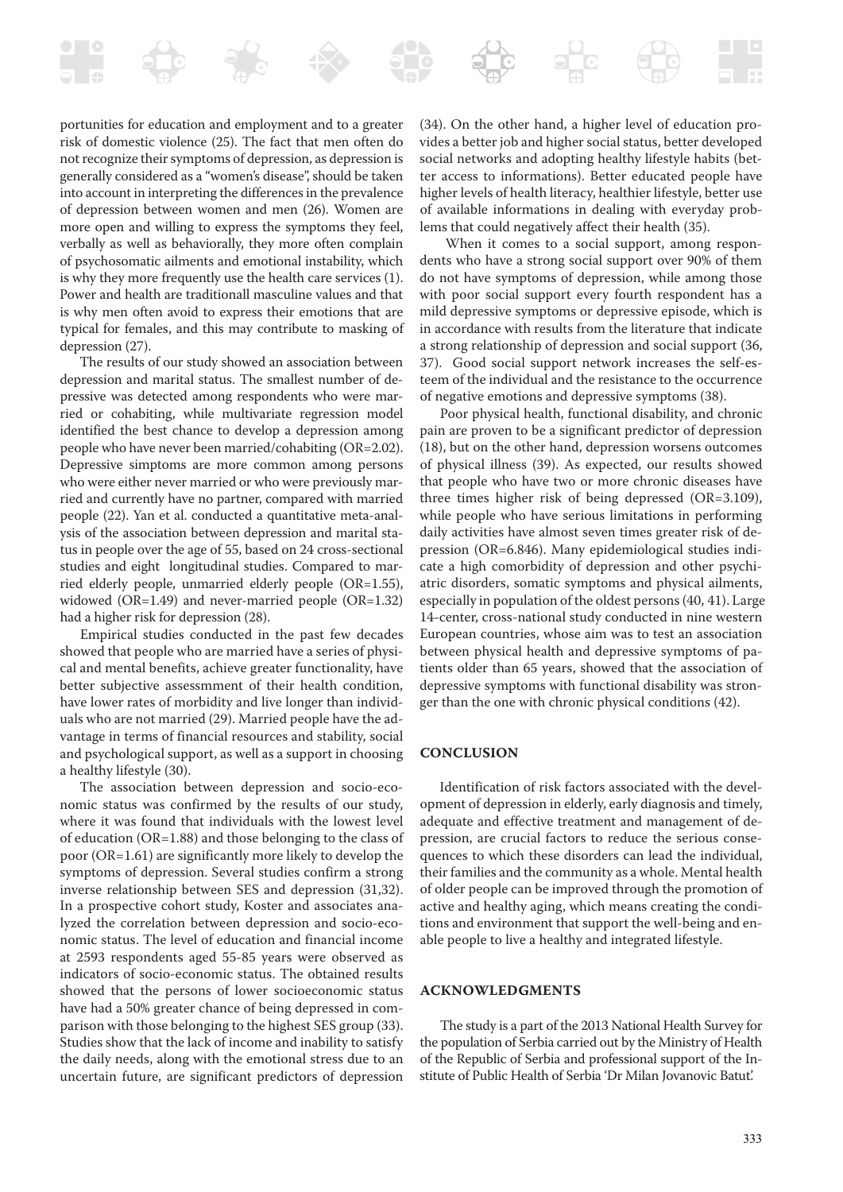portunities for education and employment and to a greater risk of domestic violence (25). The fact that men often do not recognize their symptoms of depression, as depression is generally considered as a "women's disease", should be taken into account in interpreting the differences in the prevalence of depression between women and men (26). Women are more open and willing to express the symptoms they feel, verbally as well as behaviorally, they more often complain of psychosomatic ailments and emotional instability, which is why they more frequently use the health care services (1). Power and health are traditionall masculine values and that is why men often avoid to express their emotions that are typical for females, and this may contribute to masking of depression (27).

The results of our study showed an association between depression and marital status. The smallest number of depressive was detected among respondents who were married or cohabiting, while multivariate regression model identified the best chance to develop a depression among people who have never been married/cohabiting (OR=2.02). Depressive simptoms are more common among persons who were either never married or who were previously married and currently have no partner, compared with married people (22). Yan et al. conducted a quantitative meta-analysis of the association between depression and marital status in people over the age of 55, based on 24 cross-sectional studies and eight longitudinal studies. Compared to married elderly people, unmarried elderly people (OR=1.55), widowed (OR=1.49) and never-married people (OR=1.32) had a higher risk for depression (28).

Empirical studies conducted in the past few decades showed that people who are married have a series of physical and mental benefits, achieve greater functionality, have better subjective assessmment of their health condition, have lower rates of morbidity and live longer than individuals who are not married (29). Married people have the advantage in terms of financial resources and stability, social and psychological support, as well as a support in choosing a healthy lifestyle (30).

The association between depression and socio-economic status was confirmed by the results of our study, where it was found that individuals with the lowest level of education (OR=1.88) and those belonging to the class of poor (OR=1.61) are significantly more likely to develop the symptoms of depression. Several studies confirm a strong inverse relationship between SES and depression (31,32). In a prospective cohort study, Koster and associates analyzed the correlation between depression and socio-economic status. The level of education and financial income at 2593 respondents aged 55-85 years were observed as indicators of socio-economic status. The obtained results showed that the persons of lower socioeconomic status have had a 50% greater chance of being depressed in comparison with those belonging to the highest SES group (33). Studies show that the lack of income and inability to satisfy the daily needs, along with the emotional stress due to an uncertain future, are significant predictors of depression

(34). On the other hand, a higher level of education provides a better job and higher social status, better developed social networks and adopting healthy lifestyle habits (better access to informations). Better educated people have higher levels of health literacy, healthier lifestyle, better use of available informations in dealing with everyday problems that could negatively affect their health (35).

When it comes to a social support, among respondents who have a strong social support over 90% of them do not have symptoms of depression, while among those with poor social support every fourth respondent has a mild depressive symptoms or depressive episode, which is in accordance with results from the literature that indicate a strong relationship of depression and social support (36, 37). Good social support network increases the self-esteem of the individual and the resistance to the occurrence of negative emotions and depressive symptoms (38).

Poor physical health, functional disability, and chronic pain are proven to be a significant predictor of depression (18), but on the other hand, depression worsens outcomes of physical illness (39). As expected, our results showed that people who have two or more chronic diseases have three times higher risk of being depressed (OR=3.109), while people who have serious limitations in performing daily activities have almost seven times greater risk of depression (OR=6.846). Many epidemiological studies indicate a high comorbidity of depression and other psychiatric disorders, somatic symptoms and physical ailments, especially in population of the oldest persons (40, 41). Large 14-center, cross-national study conducted in nine western European countries, whose aim was to test an association between physical health and depressive symptoms of patients older than 65 years, showed that the association of depressive symptoms with functional disability was stronger than the one with chronic physical conditions (42).

#### **CONCLUSION**

Identification of risk factors associated with the development of depression in elderly, early diagnosis and timely, adequate and effective treatment and management of depression, are crucial factors to reduce the serious consequences to which these disorders can lead the individual, their families and the community as a whole. Mental health of older people can be improved through the promotion of active and healthy aging, which means creating the conditions and environment that support the well-being and enable people to live a healthy and integrated lifestyle.

#### **ACKNOWLEDGMENTS**

The study is a part of the 2013 National Health Survey for the population of Serbia carried out by the Ministry of Health of the Republic of Serbia and professional support of the Institute of Public Health of Serbia 'Dr Milan Jovanovic Batut.'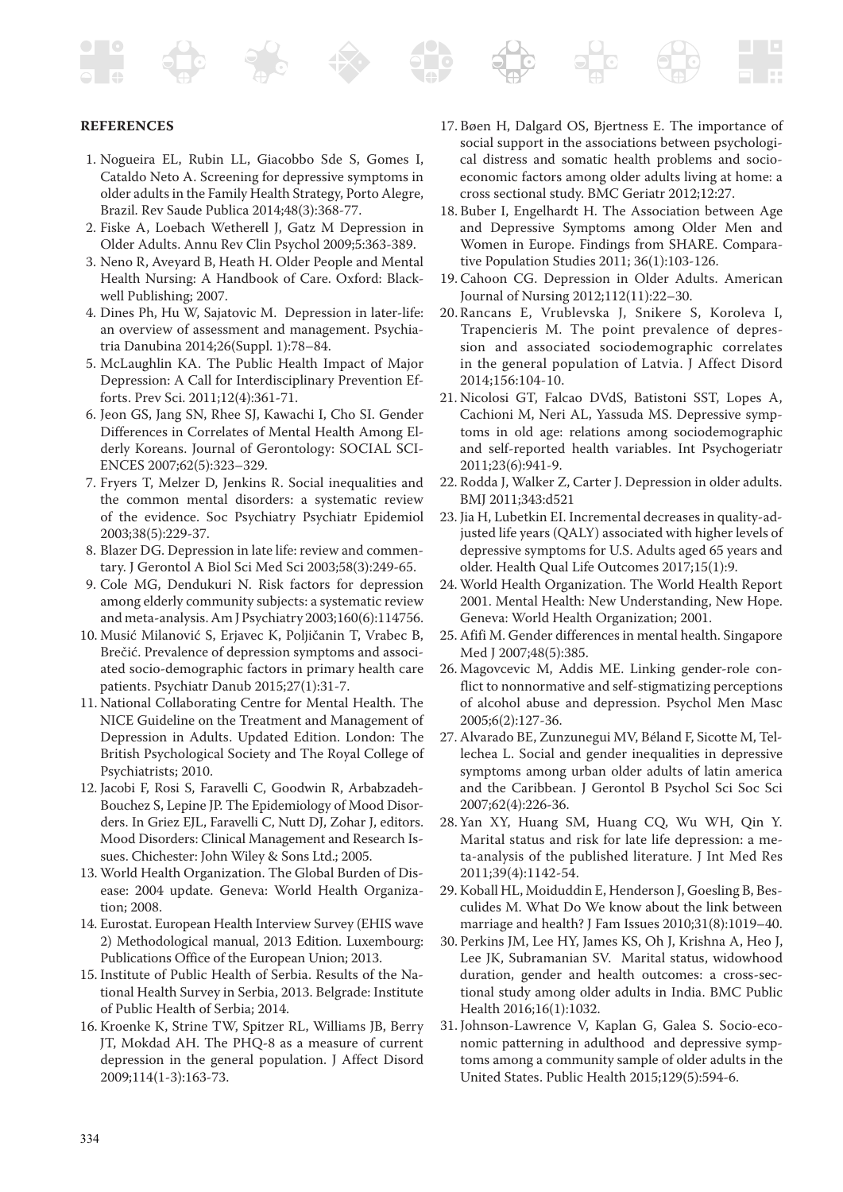#### **REFERENCES**

- 1. Nogueira EL, Rubin LL, Giacobbo Sde S, Gomes I, Cataldo Neto A. Screening for depressive symptoms in older adults in the Family Health Strategy, Porto Alegre, Brazil. Rev Saude Publica 2014;48(3):368-77.
- 2. Fiske A, Loebach Wetherell J, Gatz M Depression in Older Adults. Annu Rev Clin Psychol 2009;5:363-389.
- 3. Neno R, Aveyard B, Heath H. Older People and Mental Health Nursing: A Handbook of Care. Oxford: Blackwell Publishing; 2007.
- 4. Dines Ph, Hu W, Sajatovic M. Depression in later-life: an overview of assessment and management. Psychiatria Danubina 2014;26(Suppl. 1):78–84.
- 5. McLaughlin KA. The Public Health Impact of Major Depression: A Call for Interdisciplinary Prevention Efforts. Prev Sci. 2011;12(4):361-71.
- 6. Jeon GS, Jang SN, Rhee SJ, Kawachi I, Cho SI. Gender Differences in Correlates of Mental Health Among Elderly Koreans. Journal of Gerontology: SOCIAL SCI-ENCES 2007;62(5):323–329.
- 7. Fryers T, Melzer D, Jenkins R. Social inequalities and the common mental disorders: a systematic review of the evidence. Soc Psychiatry Psychiatr Epidemiol 2003;38(5):229-37.
- 8. Blazer DG. Depression in late life: review and commentary. J Gerontol A Biol Sci Med Sci 2003;58(3):249-65.
- 9. Cole MG, Dendukuri N. Risk factors for depression among elderly community subjects: a systematic review and meta-analysis. Am J Psychiatry 2003;160(6):114756.
- 10. Musić Milanović S, Erjavec K, Poljičanin T, Vrabec B, Brečić. Prevalence of depression symptoms and associated socio-demographic factors in primary health care patients. Psychiatr Danub 2015;27(1):31-7.
- 11. National Collaborating Centre for Mental Health. The NICE Guideline on the Treatment and Management of Depression in Adults. Updated Edition. London: The British Psychological Society and The Royal College of Psychiatrists; 2010.
- 12. Jacobi F, Rosi S, Faravelli C, Goodwin R, Arbabzadeh-Bouchez S, Lepine JP. The Epidemiology of Mood Disorders. In Griez EJL, Faravelli C, Nutt DJ, Zohar J, editors. Mood Disorders: Clinical Management and Research Issues. Chichester: John Wiley & Sons Ltd.; 2005.
- 13. World Health Organization. The Global Burden of Disease: 2004 update. Geneva: World Health Organization; 2008.
- 14. Eurostat. European Health Interview Survey (EHIS wave 2) Methodological manual, 2013 Edition. Luxembourg: Publications Office of the European Union; 2013.
- 15. Institute of Public Health of Serbia. Results of the National Health Survey in Serbia, 2013. Belgrade: Institute of Public Health of Serbia; 2014.
- 16. Kroenke K, Strine TW, Spitzer RL, Williams JB, Berry JT, Mokdad AH. The PHQ-8 as a measure of current depression in the general population. J Affect Disord 2009;114(1-3):163-73.
- 17. Bøen H, Dalgard OS, Bjertness E. The importance of social support in the associations between psychological distress and somatic health problems and socioeconomic factors among older adults living at home: a cross sectional study. BMC Geriatr 2012;12:27.
- 18. Buber I, Engelhardt H. The Association between Age and Depressive Symptoms among Older Men and Women in Europe. Findings from SHARE. Comparative Population Studies 2011; 36(1):103-126.
- 19. Cahoon CG. Depression in Older Adults. American Journal of Nursing 2012;112(11):22–30.
- 20. Rancans E, Vrublevska J, Snikere S, Koroleva I, Trapencieris M. The point prevalence of depression and associated sociodemographic correlates in the general population of Latvia. J Affect Disord 2014;156:104-10.
- 21. Nicolosi GT, Falcao DVdS, Batistoni SST, Lopes A, Cachioni M, Neri AL, Yassuda MS. Depressive symptoms in old age: relations among sociodemographic and self-reported health variables. Int Psychogeriatr 2011;23(6):941-9.
- 22. Rodda J, Walker Z, Carter J. Depression in older adults. BMJ 2011;343:d521
- 23. Jia H, Lubetkin EI. Incremental decreases in quality-adjusted life years (QALY) associated with higher levels of depressive symptoms for U.S. Adults aged 65 years and older. Health Qual Life Outcomes 2017;15(1):9.
- 24. World Health Organization. The World Health Report 2001. Mental Health: New Understanding, New Hope. Geneva: World Health Organization; 2001.
- 25. Afifi M. Gender differences in mental health. Singapore Med J 2007;48(5):385.
- 26. Magovcevic M, Addis ME. Linking gender-role conflict to nonnormative and self-stigmatizing perceptions of alcohol abuse and depression. Psychol Men Masc 2005;6(2):127-36.
- 27. Alvarado BE, Zunzunegui MV, Béland F, Sicotte M, Tellechea L. Social and gender inequalities in depressive symptoms among urban older adults of latin america and the Caribbean. J Gerontol B Psychol Sci Soc Sci 2007;62(4):226-36.
- 28. Yan XY, Huang SM, Huang CQ, Wu WH, Qin Y. Marital status and risk for late life depression: a meta-analysis of the published literature. J Int Med Res 2011;39(4):1142-54.
- 29. Koball HL, Moiduddin E, Henderson J, Goesling B, Besculides M. What Do We know about the link between marriage and health? J Fam Issues 2010;31(8):1019–40.
- 30. Perkins JM, Lee HY, James KS, Oh J, Krishna A, Heo J, Lee JK, Subramanian SV. Marital status, widowhood duration, gender and health outcomes: a cross-sectional study among older adults in India. BMC Public Health 2016;16(1):1032.
- 31. Johnson-Lawrence V, Kaplan G, Galea S. Socio-economic patterning in adulthood and depressive symptoms among a community sample of older adults in the United States. Public Health 2015;129(5):594-6.